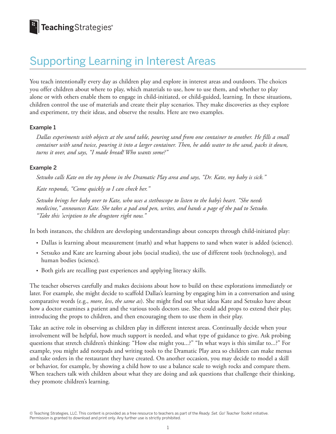## Supporting Learning in Interest Areas

You teach intentionally every day as children play and explore in interest areas and outdoors. The choices you offer children about where to play, which materials to use, how to use them, and whether to play alone or with others enable them to engage in child-initiated, or child-guided, learning*.* In these situations, children control the use of materials and create their play scenarios. They make discoveries as they explore and experiment, try their ideas, and observe the results. Here are two examples.

## Example 1

*Dallas experiments with objects at the sand table, pouring sand from one container to another. He fills a small container with sand twice, pouring it into a larger container. Then, he adds water to the sand, packs it down, turns it over, and says, "I made bread! Who wants some?"*

## Example 2

*Setsuko calls Kate on the toy phone in the Dramatic Play area and says, "Dr. Kate, my baby is sick."*

*Kate responds, "Come quickly so I can check her."*

*Setsuko brings her baby over to Kate, who uses a stethoscope to listen to the baby's heart. "She needs medicine," announces Kate. She takes a pad and pen, writes, and hands a page of the pad to Setsuko. "Take this 'scription to the drugstore right now."*

In both instances, the children are developing understandings about concepts through child-initiated play:

- Dallas is learning about measurement (math) and what happens to sand when water is added (science).
- Setsuko and Kate are learning about jobs (social studies), the use of different tools (technology), and human bodies (science).
- Both girls are recalling past experiences and applying literacy skills.

The teacher observes carefully and makes decisions about how to build on these explorations immediately or later. For example, she might decide to scaffold Dallas's learning by engaging him in a conversation and using comparative words (e.g., *more*, *less*, *the same as*). She might find out what ideas Kate and Setsuko have about how a doctor examines a patient and the various tools doctors use. She could add props to extend their play, introducing the props to children, and then encouraging them to use them in their play.

Take an active role in observing as children play in different interest areas. Continually decide when your involvement will be helpful, how much support is needed, and what type of guidance to give. Ask probing questions that stretch children's thinking: "How else might you...?" "In what ways is this similar to...?" For example, you might add notepads and writing tools to the Dramatic Play area so children can make menus and take orders in the restaurant they have created. On another occasion, you may decide to model a skill or behavior, for example, by showing a child how to use a balance scale to weigh rocks and compare them. When teachers talk with children about what they are doing and ask questions that challenge their thinking, they promote children's learning.

© Teaching Strategies, LLC. This content is provided as a free resource to teachers as part of the *Ready. Set. Go! Teacher Toolkit* initiative. Permission is granted to download and print only. Any further use is strictly prohibited.